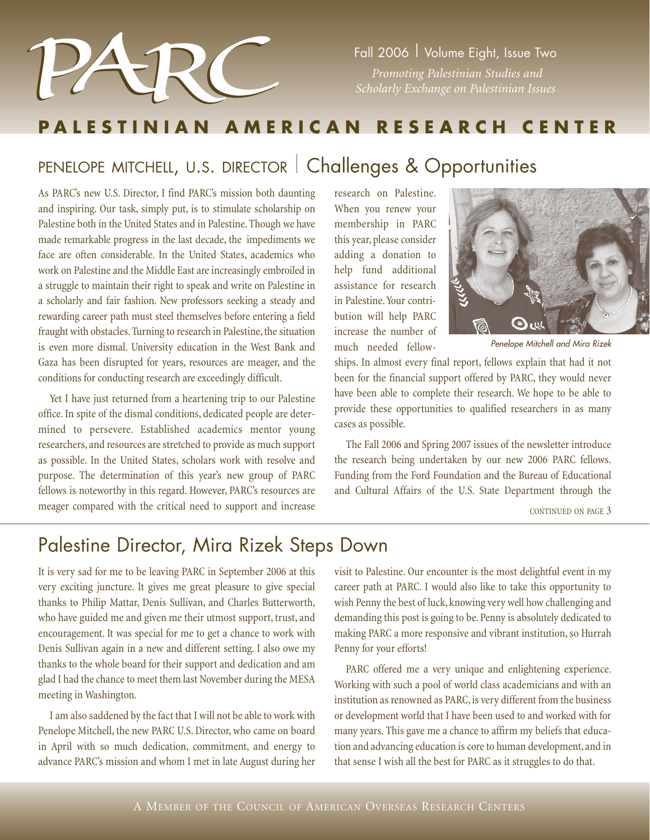

*Promoting Palestinian Studies and* 

### **PALESTINIAN AMERICAN RESEARCH CENTER**

### PENELOPE MITCHELL, U.S. DIRECTOR | Challenges & Opportunities

As PARC's new U.S. Director, I find PARC's mission both daunting and inspiring. Our task, simply put, is to stimulate scholarship on Palestine both in the United States and in Palestine. Though we have made remarkable progress in the last decade, the impediments we face are often considerable. In the United States, academics who work on Palestine and the Middle East are increasingly embroiled in a struggle to maintain their right to speak and write on Palestine in a scholarly and fair fashion. New professors seeking a steady and rewarding career path must steel themselves before entering a field fraught with obstacles. Turning to research in Palestine, the situation is even more dismal. University education in the West Bank and Gaza has been disrupted for years, resources are meager, and the conditions for conducting research are exceedingly difficult.

Yet I have just returned from a heartening trip to our Palestine office. In spite of the dismal conditions, dedicated people are determined to persevere. Established academics mentor young researchers, and resources are stretched to provide as much support as possible. In the United States, scholars work with resolve and purpose. The determination of this year's new group of PARC fellows is noteworthy in this regard. However, PARC's resources are meager compared with the critical need to support and increase

research on Palestine. When you renew your membership in PARC this year, please consider adding a donation to help fund additional assistance for research in Palestine. Your contribution will help PARC increase the number of much needed fellow-



Penelope Mitchell and Mira Rizek

ships. In almost every final report, fellows explain that had it not been for the financial support offered by PARC, they would never have been able to complete their research. We hope to be able to provide these opportunities to qualified researchers in as many cases as possible.

The Fall 2006 and Spring 2007 issues of the newsletter introduce the research being undertaken by our new 2006 PARC fellows. Funding from the Ford Foundation and the Bureau of Educational and Cultural Affairs of the U.S. State Department through the

CONTINUED ON PAGE 3

### Palestine Director, Mira Rizek Steps Down

It is very sad for me to be leaving PARC in September 2006 at this very exciting juncture. It gives me great pleasure to give special thanks to Philip Mattar, Denis Sullivan, and Charles Butterworth, who have guided me and given me their utmost support, trust, and encouragement. It was special for me to get a chance to work with Denis Sullivan again in a new and different setting. I also owe my thanks to the whole board for their support and dedication and am glad I had the chance to meet them last November during the MESA meeting in Washington.

I am also saddened by the fact that I will not be able to work with Penelope Mitchell, the new PARC U.S. Director, who came on board in April with so much dedication, commitment, and energy to advance PARC's mission and whom I met in late August during her

visit to Palestine. Our encounter is the most delightful event in my career path at PARC. I would also like to take this opportunity to wish Penny the best of luck, knowing very well how challenging and demanding this post is going to be. Penny is absolutely dedicated to making PARC a more responsive and vibrant institution, so Hurrah Penny for your efforts!

PARC offered me a very unique and enlightening experience. Working with such a pool of world class academicians and with an institution as renowned as PARC, is very different from the business or development world that I have been used to and worked with for many years. This gave me a chance to affirm my beliefs that education and advancing education is core to human development, and in that sense I wish all the best for PARC as it struggles to do that.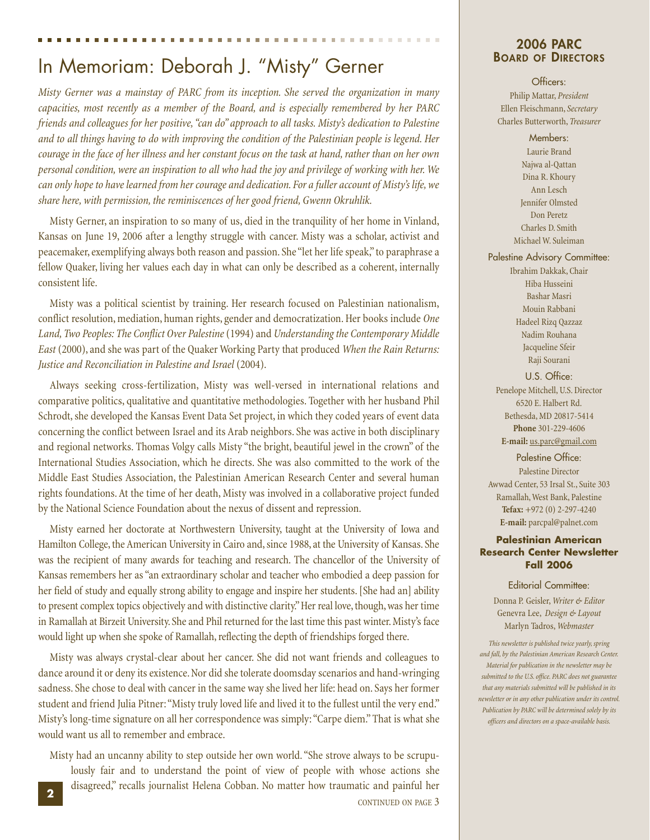### In Memoriam: Deborah J. "Misty" Gerner

*Misty Gerner was a mainstay of PARC from its inception. She served the organization in many capacities, most recently as a member of the Board, and is especially remembered by her PARC friends and colleagues for her positive, "can do" approach to all tasks. Misty's dedication to Palestine and to all things having to do with improving the condition of the Palestinian people is legend. Her courage in the face of her illness and her constant focus on the task at hand, rather than on her own personal condition, were an inspiration to all who had the joy and privilege of working with her. We can only hope to have learned from her courage and dedication. For a fuller account of Misty's life, we share here, with permission, the reminiscences of her good friend, Gwenn Okruhlik.*

Misty Gerner, an inspiration to so many of us, died in the tranquility of her home in Vinland, Kansas on June 19, 2006 after a lengthy struggle with cancer. Misty was a scholar, activist and peacemaker, exemplifying always both reason and passion. She "let her life speak," to paraphrase a fellow Quaker, living her values each day in what can only be described as a coherent, internally consistent life.

Misty was a political scientist by training. Her research focused on Palestinian nationalism, conflict resolution, mediation, human rights, gender and democratization. Her books include *One Land, Two Peoples: The Conflict Over Palestine*(1994) and *Understanding the Contemporary Middle East* (2000), and she was part of the Quaker Working Party that produced *When the Rain Returns: Justice and Reconciliation in Palestine and Israel* (2004).

Always seeking cross-fertilization, Misty was well-versed in international relations and comparative politics, qualitative and quantitative methodologies. Together with her husband Phil Schrodt, she developed the Kansas Event Data Set project, in which they coded years of event data concerning the conflict between Israel and its Arab neighbors. She was active in both disciplinary and regional networks. Thomas Volgy calls Misty "the bright, beautiful jewel in the crown" of the International Studies Association, which he directs. She was also committed to the work of the Middle East Studies Association, the Palestinian American Research Center and several human rights foundations. At the time of her death, Misty was involved in a collaborative project funded by the National Science Foundation about the nexus of dissent and repression.

Misty earned her doctorate at Northwestern University, taught at the University of Iowa and Hamilton College, the American University in Cairo and, since 1988, at the University of Kansas. She was the recipient of many awards for teaching and research. The chancellor of the University of Kansas remembers her as "an extraordinary scholar and teacher who embodied a deep passion for her field of study and equally strong ability to engage and inspire her students. [She had an] ability to present complex topics objectively and with distinctive clarity." Her real love, though, was her time in Ramallah at Birzeit University. She and Phil returned for the last time this past winter. Misty's face would light up when she spoke of Ramallah, reflecting the depth of friendships forged there.

Misty was always crystal-clear about her cancer. She did not want friends and colleagues to dance around it or deny its existence. Nor did she tolerate doomsday scenarios and hand-wringing sadness. She chose to deal with cancer in the same way she lived her life: head on. Says her former student and friend Julia Pitner: "Misty truly loved life and lived it to the fullest until the very end." Misty's long-time signature on all her correspondence was simply: "Carpe diem." That is what she would want us all to remember and embrace.

Misty had an uncanny ability to step outside her own world. "She strove always to be scrupulously fair and to understand the point of view of people with whose actions she disagreed," recalls journalist Helena Cobban. No matter how traumatic and painful her **<sup>2</sup>**

CONTINUED ON PAGE 3

# **2006 PARC<br>Board of Directors**

. . . . . . .

#### Officers:

Philip Mattar, *President* Ellen Fleischmann, *Secretary* Charles Butterworth, *Treasurer*

#### Members:

Laurie Brand Najwa al-Qattan Dina R. Khoury Ann Lesch Jennifer Olmsted Don Peretz Charles D. Smith Michael W. Suleiman

#### Palestine Advisory Committee:

Ibrahim Dakkak, Chair Hiba Husseini Bashar Masri Mouin Rabbani Hadeel Rizq Qazzaz Nadim Rouhana Jacqueline Sfeir Raji Sourani

#### U.S. Office:

Penelope Mitchell, U.S. Director 6520 E. Halbert Rd. Bethesda, MD 20817-5414 **Phone** 301-229-4606 **E-mail:** us.parc@gmail.com

Palestine Office: Palestine Director Awwad Center, 53 Irsal St., Suite 303 Ramallah, West Bank, Palestine **Tefax:** +972 (0) 2-297-4240 **E-mail:** parcpal@palnet.com

#### **Palestinian American Research Center Newsletter Fall 2006**

#### Editorial Committee:

Donna P. Geisler,*Writer & Editor* Genevra Lee, *Design & Layout* Marlyn Tadros,*Webmaster*

*This newsletter is published twice yearly, spring and fall, by the Palestinian American Research Center. Material for publication in the newsletter may be submitted to the U.S. office. PARC does not guarantee that any materials submitted will be published in its newsletter or in any other publication under its control. Publication by PARC will be determined solely by its officers and directors on a space-available basis.*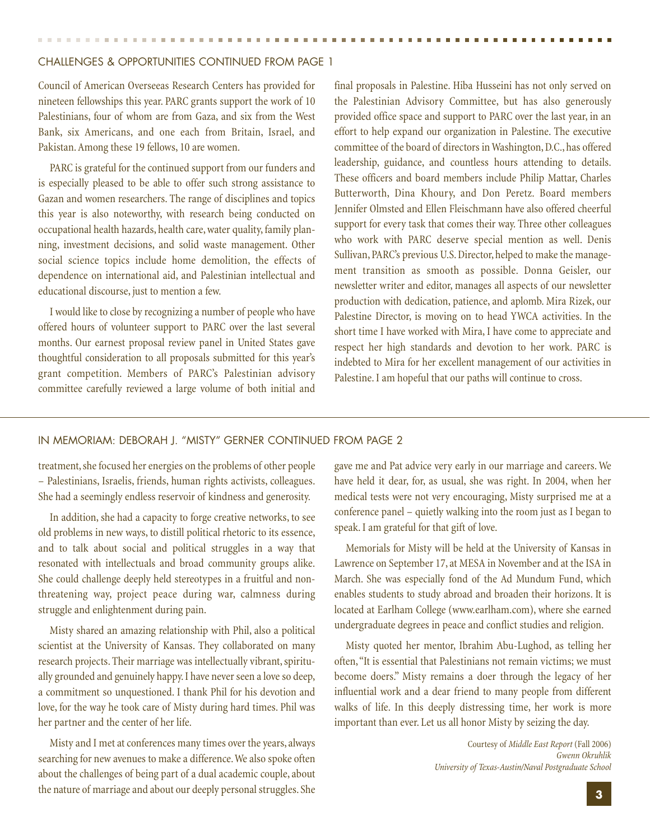#### CHALLENGES & OPPORTUNITIES CONTINUED FROM PAGE 1

Council of American Overseeas Research Centers has provided for nineteen fellowships this year. PARC grants support the work of 10 Palestinians, four of whom are from Gaza, and six from the West Bank, six Americans, and one each from Britain, Israel, and Pakistan. Among these 19 fellows, 10 are women.

PARC is grateful for the continued support from our funders and is especially pleased to be able to offer such strong assistance to Gazan and women researchers. The range of disciplines and topics this year is also noteworthy, with research being conducted on occupational health hazards, health care, water quality, family planning, investment decisions, and solid waste management. Other social science topics include home demolition, the effects of dependence on international aid, and Palestinian intellectual and educational discourse, just to mention a few.

I would like to close by recognizing a number of people who have offered hours of volunteer support to PARC over the last several months. Our earnest proposal review panel in United States gave thoughtful consideration to all proposals submitted for this year's grant competition. Members of PARC's Palestinian advisory committee carefully reviewed a large volume of both initial and

final proposals in Palestine. Hiba Husseini has not only served on the Palestinian Advisory Committee, but has also generously provided office space and support to PARC over the last year, in an effort to help expand our organization in Palestine. The executive committee of the board of directors in Washington, D.C., has offered leadership, guidance, and countless hours attending to details. These officers and board members include Philip Mattar, Charles Butterworth, Dina Khoury, and Don Peretz. Board members Jennifer Olmsted and Ellen Fleischmann have also offered cheerful support for every task that comes their way. Three other colleagues who work with PARC deserve special mention as well. Denis Sullivan, PARC's previous U.S. Director, helped to make the management transition as smooth as possible. Donna Geisler, our newsletter writer and editor, manages all aspects of our newsletter production with dedication, patience, and aplomb. Mira Rizek, our Palestine Director, is moving on to head YWCA activities. In the short time I have worked with Mira, I have come to appreciate and respect her high standards and devotion to her work. PARC is indebted to Mira for her excellent management of our activities in Palestine. I am hopeful that our paths will continue to cross.

#### IN MEMORIAM: DEBORAH J. "MISTY" GERNER CONTINUED FROM PAGE 2

treatment, she focused her energies on the problems of other people – Palestinians, Israelis, friends, human rights activists, colleagues. She had a seemingly endless reservoir of kindness and generosity.

In addition, she had a capacity to forge creative networks, to see old problems in new ways, to distill political rhetoric to its essence, and to talk about social and political struggles in a way that resonated with intellectuals and broad community groups alike. She could challenge deeply held stereotypes in a fruitful and nonthreatening way, project peace during war, calmness during struggle and enlightenment during pain.

Misty shared an amazing relationship with Phil, also a political scientist at the University of Kansas. They collaborated on many research projects. Their marriage was intellectually vibrant, spiritually grounded and genuinely happy. I have never seen a love so deep, a commitment so unquestioned. I thank Phil for his devotion and love, for the way he took care of Misty during hard times. Phil was her partner and the center of her life.

Misty and I met at conferences many times over the years, always searching for new avenues to make a difference.We also spoke often about the challenges of being part of a dual academic couple, about the nature of marriage and about our deeply personal struggles. She gave me and Pat advice very early in our marriage and careers. We have held it dear, for, as usual, she was right. In 2004, when her medical tests were not very encouraging, Misty surprised me at a conference panel – quietly walking into the room just as I began to speak. I am grateful for that gift of love.

Memorials for Misty will be held at the University of Kansas in Lawrence on September 17, at MESA in November and at the ISA in March. She was especially fond of the Ad Mundum Fund, which enables students to study abroad and broaden their horizons. It is located at Earlham College (www.earlham.com), where she earned undergraduate degrees in peace and conflict studies and religion.

Misty quoted her mentor, Ibrahim Abu-Lughod, as telling her often,"It is essential that Palestinians not remain victims; we must become doers." Misty remains a doer through the legacy of her influential work and a dear friend to many people from different walks of life. In this deeply distressing time, her work is more important than ever. Let us all honor Misty by seizing the day.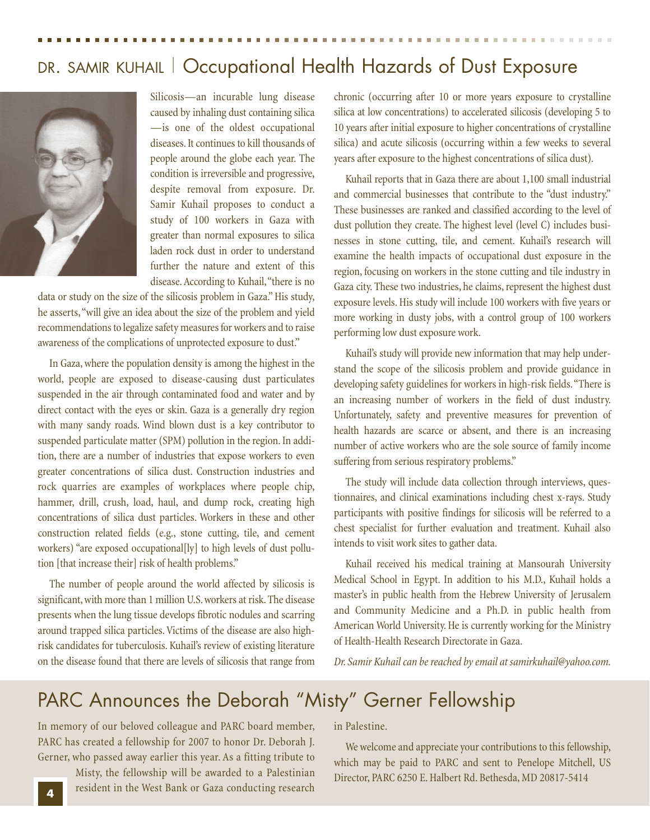### DR. SAMIR KUHAIL | Occupational Health Hazards of Dust Exposure



Silicosis—an incurable lung disease caused by inhaling dust containing silica —is one of the oldest occupational diseases. It continues to kill thousands of people around the globe each year. The condition is irreversible and progressive, despite removal from exposure. Dr. Samir Kuhail proposes to conduct a study of 100 workers in Gaza with greater than normal exposures to silica laden rock dust in order to understand further the nature and extent of this disease. According to Kuhail,"there is no

data or study on the size of the silicosis problem in Gaza." His study, he asserts,"will give an idea about the size of the problem and yield recommendations to legalize safety measures for workers and to raise awareness of the complications of unprotected exposure to dust."

In Gaza, where the population density is among the highest in the world, people are exposed to disease-causing dust particulates suspended in the air through contaminated food and water and by direct contact with the eyes or skin. Gaza is a generally dry region with many sandy roads. Wind blown dust is a key contributor to suspended particulate matter (SPM) pollution in the region. In addition, there are a number of industries that expose workers to even greater concentrations of silica dust. Construction industries and rock quarries are examples of workplaces where people chip, hammer, drill, crush, load, haul, and dump rock, creating high concentrations of silica dust particles. Workers in these and other construction related fields (e.g., stone cutting, tile, and cement workers) "are exposed occupational[ly] to high levels of dust pollution [that increase their] risk of health problems."

The number of people around the world affected by silicosis is significant, with more than 1 million U.S. workers at risk. The disease presents when the lung tissue develops fibrotic nodules and scarring around trapped silica particles. Victims of the disease are also highrisk candidates for tuberculosis. Kuhail's review of existing literature on the disease found that there are levels of silicosis that range from chronic (occurring after 10 or more years exposure to crystalline silica at low concentrations) to accelerated silicosis (developing 5 to 10 years after initial exposure to higher concentrations of crystalline silica) and acute silicosis (occurring within a few weeks to several years after exposure to the highest concentrations of silica dust).

Kuhail reports that in Gaza there are about 1,100 small industrial and commercial businesses that contribute to the "dust industry." These businesses are ranked and classified according to the level of dust pollution they create. The highest level (level C) includes businesses in stone cutting, tile, and cement. Kuhail's research will examine the health impacts of occupational dust exposure in the region, focusing on workers in the stone cutting and tile industry in Gaza city. These two industries, he claims, represent the highest dust exposure levels. His study will include 100 workers with five years or more working in dusty jobs, with a control group of 100 workers performing low dust exposure work.

Kuhail's study will provide new information that may help understand the scope of the silicosis problem and provide guidance in developing safety guidelines for workers in high-risk fields."There is an increasing number of workers in the field of dust industry. Unfortunately, safety and preventive measures for prevention of health hazards are scarce or absent, and there is an increasing number of active workers who are the sole source of family income suffering from serious respiratory problems."

The study will include data collection through interviews, questionnaires, and clinical examinations including chest x-rays. Study participants with positive findings for silicosis will be referred to a chest specialist for further evaluation and treatment. Kuhail also intends to visit work sites to gather data.

Kuhail received his medical training at Mansourah University Medical School in Egypt. In addition to his M.D., Kuhail holds a master's in public health from the Hebrew University of Jerusalem and Community Medicine and a Ph.D. in public health from American World University. He is currently working for the Ministry of Health-Health Research Directorate in Gaza.

*Dr. Samir Kuhail can be reached by email at samirkuhail@yahoo.com.*

### PARC Announces the Deborah "Misty" Gerner Fellowship

In memory of our beloved colleague and PARC board member, PARC has created a fellowship for 2007 to honor Dr. Deborah J. Gerner, who passed away earlier this year. As a fitting tribute to

> Misty, the fellowship will be awarded to a Palestinian resident in the West Bank or Gaza conducting research

in Palestine.

We welcome and appreciate your contributions to this fellowship, which may be paid to PARC and sent to Penelope Mitchell, US Director, PARC 6250 E. Halbert Rd. Bethesda, MD 20817-5414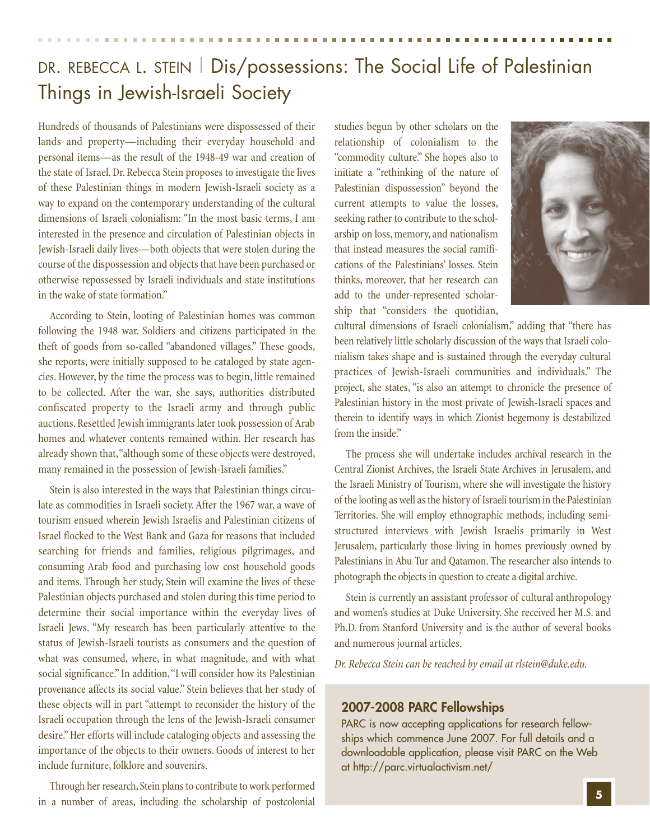### DR. REBECCA L. STEIN | Dis/possessions: The Social Life of Palestinian Things in Jewish-Israeli Society

Hundreds of thousands of Palestinians were dispossessed of their lands and property—including their everyday household and personal items—as the result of the 1948-49 war and creation of the state of Israel. Dr. Rebecca Stein proposes to investigate the lives of these Palestinian things in modern Jewish-Israeli society as a way to expand on the contemporary understanding of the cultural dimensions of Israeli colonialism: "In the most basic terms, I am interested in the presence and circulation of Palestinian objects in Jewish-Israeli daily lives—both objects that were stolen during the course of the dispossession and objects that have been purchased or otherwise repossessed by Israeli individuals and state institutions in the wake of state formation."

According to Stein, looting of Palestinian homes was common following the 1948 war. Soldiers and citizens participated in the theft of goods from so-called "abandoned villages." These goods, she reports, were initially supposed to be cataloged by state agencies. However, by the time the process was to begin, little remained to be collected. After the war, she says, authorities distributed confiscated property to the Israeli army and through public auctions. Resettled Jewish immigrants later took possession of Arab homes and whatever contents remained within. Her research has already shown that,"although some of these objects were destroyed, many remained in the possession of Jewish-Israeli families."

Stein is also interested in the ways that Palestinian things circulate as commodities in Israeli society. After the 1967 war, a wave of tourism ensued wherein Jewish Israelis and Palestinian citizens of Israel flocked to the West Bank and Gaza for reasons that included searching for friends and families, religious pilgrimages, and consuming Arab food and purchasing low cost household goods and items. Through her study, Stein will examine the lives of these Palestinian objects purchased and stolen during this time period to determine their social importance within the everyday lives of Israeli Jews. "My research has been particularly attentive to the status of Jewish-Israeli tourists as consumers and the question of what was consumed, where, in what magnitude, and with what social significance." In addition,"I will consider how its Palestinian provenance affects its social value." Stein believes that her study of these objects will in part "attempt to reconsider the history of the Israeli occupation through the lens of the Jewish-Israeli consumer desire." Her efforts will include cataloging objects and assessing the importance of the objects to their owners. Goods of interest to her include furniture, folklore and souvenirs.

Through her research, Stein plans to contribute to work performed in a number of areas, including the scholarship of postcolonial studies begun by other scholars on the relationship of colonialism to the "commodity culture." She hopes also to initiate a "rethinking of the nature of Palestinian dispossession" beyond the current attempts to value the losses, seeking rather to contribute to the scholarship on loss, memory, and nationalism that instead measures the social ramifications of the Palestinians' losses. Stein thinks, moreover, that her research can add to the under-represented scholarship that "considers the quotidian,



cultural dimensions of Israeli colonialism," adding that "there has been relatively little scholarly discussion of the ways that Israeli colonialism takes shape and is sustained through the everyday cultural practices of Jewish-Israeli communities and individuals." The project, she states, "is also an attempt to chronicle the presence of Palestinian history in the most private of Jewish-Israeli spaces and therein to identify ways in which Zionist hegemony is destabilized from the inside."

The process she will undertake includes archival research in the Central Zionist Archives, the Israeli State Archives in Jerusalem, and the Israeli Ministry of Tourism, where she will investigate the history of the looting as well as the history of Israeli tourism in the Palestinian Territories. She will employ ethnographic methods, including semistructured interviews with Jewish Israelis primarily in West Jerusalem, particularly those living in homes previously owned by Palestinians in Abu Tur and Qatamon. The researcher also intends to photograph the objects in question to create a digital archive.

Stein is currently an assistant professor of cultural anthropology and women's studies at Duke University. She received her M.S. and Ph.D. from Stanford University and is the author of several books and numerous journal articles.

*Dr. Rebecca Stein can be reached by email at rlstein@duke.edu.*

#### **2007-2008 PARC Fellowships**

PARC is now accepting applications for research fellowships which commence June 2007. For full details and a downloadable application, please visit PARC on the Web at http://parc.virtualactivism.net/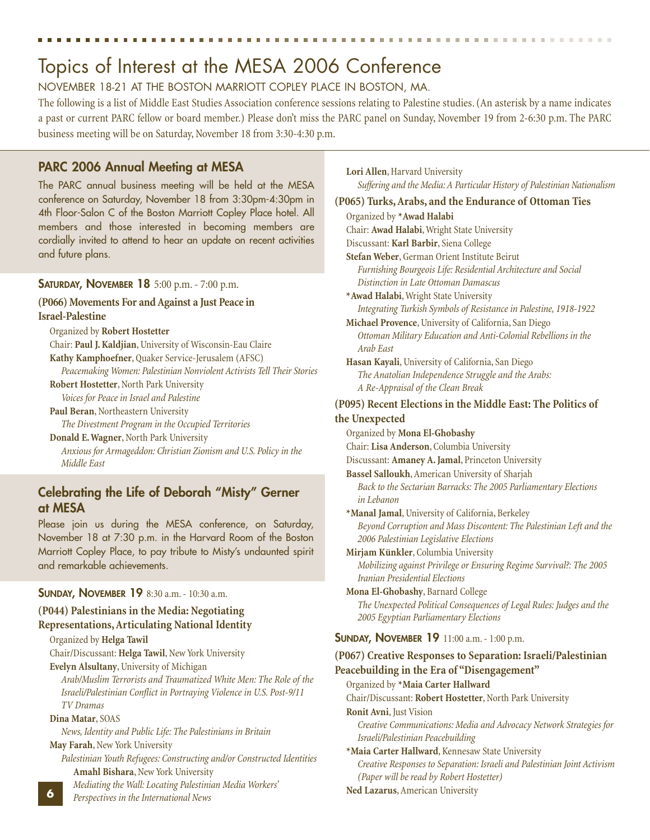## Topics of Interest at the MESA 2006 Conference

#### NOVEMBER 18-21 AT THE BOSTON MARRIOTT COPLEY PLACE IN BOSTON, MA.

The following is a list of Middle East Studies Association conference sessions relating to Palestine studies. (An asterisk by a name indicates a past or current PARC fellow or board member.) Please don't miss the PARC panel on Sunday, November 19 from 2-6:30 p.m. The PARC business meeting will be on Saturday, November 18 from 3:30-4:30 p.m.

#### **PARC 2006 Annual Meeting at MESA**

The PARC annual business meeting will be held at the MESA conference on Saturday, November 18 from 3:30pm-4:30pm in 4th Floor-Salon C of the Boston Marriott Copley Place hotel. All members and those interested in becoming members are cordially invited to attend to hear an update on recent activities and future plans.

#### **SATURDAY, NOVEMBER 18** 5:00 p.m. - 7:00 p.m.

#### **(P066) Movements For and Against a Just Peace in Israel-Palestine**

Organized by **Robert Hostetter**

Chair: **Paul J. Kaldjian**, University of Wisconsin-Eau Claire **Kathy Kamphoefner**, Quaker Service-Jerusalem (AFSC) *Peacemaking Women: Palestinian Nonviolent Activists Tell Their Stories* **Robert Hostetter**, North Park University

*Voices for Peace in Israel and Palestine*

**Paul Beran**, Northeastern University

*The Divestment Program in the Occupied Territories* **Donald E. Wagner**, North Park University

*Anxious for Armageddon: Christian Zionism and U.S. Policy in the Middle East*

### **Celebrating the Life of Deborah "Misty" Gerner at MESA**

Please join us during the MESA conference, on Saturday, November 18 at 7:30 p.m. in the Harvard Room of the Boston Marriott Copley Place, to pay tribute to Misty's undaunted spirit and remarkable achievements.

#### **SUNDAY, NOVEMBER 19** 8:30 a.m. - 10:30 a.m.

#### **(P044) Palestinians in the Media: Negotiating Representations, Articulating National Identity**

Organized by **Helga Tawil** Chair/Discussant: **Helga Tawil**, New York University

**Evelyn Alsultany**, University of Michigan

*Arab/Muslim Terrorists and Traumatized White Men: The Role of the Israeli/Palestinian Conflict in Portraying Violence in U.S. Post-9/11 TV Dramas*

#### **Dina Matar**, SOAS

**6**

*News, Identity and Public Life: The Palestinians in Britain*

**May Farah**, New York University

*Palestinian Youth Refugees: Constructing and/or Constructed Identities* **Amahl Bishara**, New York University

*Mediating the Wall: Locating Palestinian Media Workers'*

*Perspectives in the International News*

**Lori Allen**, Harvard University *Suffering and the Media: A Particular History of Palestinian Nationalism*

**(P065) Turks, Arabs, and the Endurance of Ottoman Ties** Organized by **\*Awad Halabi** Chair: **Awad Halabi**, Wright State University Discussant: **Karl Barbir**, Siena College **Stefan Weber**, German Orient Institute Beirut *Furnishing Bourgeois Life: Residential Architecture and Social Distinction in Late Ottoman Damascus* **\*Awad Halabi**, Wright State University *Integrating Turkish Symbols of Resistance in Palestine, 1918-1922* **Michael Provence**, University of California, San Diego *Ottoman Military Education and Anti-Colonial Rebellions in the Arab East* **Hasan Kayali**, University of California, San Diego *The Anatolian Independence Struggle and the Arabs: A Re-Appraisal of the Clean Break* **(P095) Recent Elections in the Middle East: The Politics of the Unexpected** Organized by **Mona El-Ghobashy** Chair: **Lisa Anderson**, Columbia University Discussant: **Amaney A. Jamal**, Princeton University **Bassel Salloukh**, American University of Sharjah *Back to the Sectarian Barracks: The 2005 Parliamentary Elections in Lebanon* **\*Manal Jamal**, University of California, Berkeley *Beyond Corruption and Mass Discontent: The Palestinian Left and the 2006 Palestinian Legislative Elections* **Mirjam Künkler**, Columbia University *Mobilizing against Privilege or Ensuring Regime Survival?: The 2005 Iranian Presidential Elections* **Mona El-Ghobashy**, Barnard College *The Unexpected Political Consequences of Legal Rules: Judges and the 2005 Egyptian Parliamentary Elections* **SUNDAY, NOVEMBER 19** 11:00 a.m. - 1:00 p.m. **(P067) Creative Responses to Separation: Israeli/Palestinian Peacebuilding in the Era of "Disengagement"** Organized by **\*Maia Carter Hallward** Chair/Discussant: **Robert Hostetter**, North Park University **Ronit Avni**, Just Vision *Creative Communications: Media and Advocacy Network Strategies for Israeli/Palestinian Peacebuilding* **\*Maia Carter Hallward**, Kennesaw State University *Creative Responses to Separation: Israeli and Palestinian Joint Activism (Paper will be read by Robert Hostetter)*

**Ned Lazarus**, American University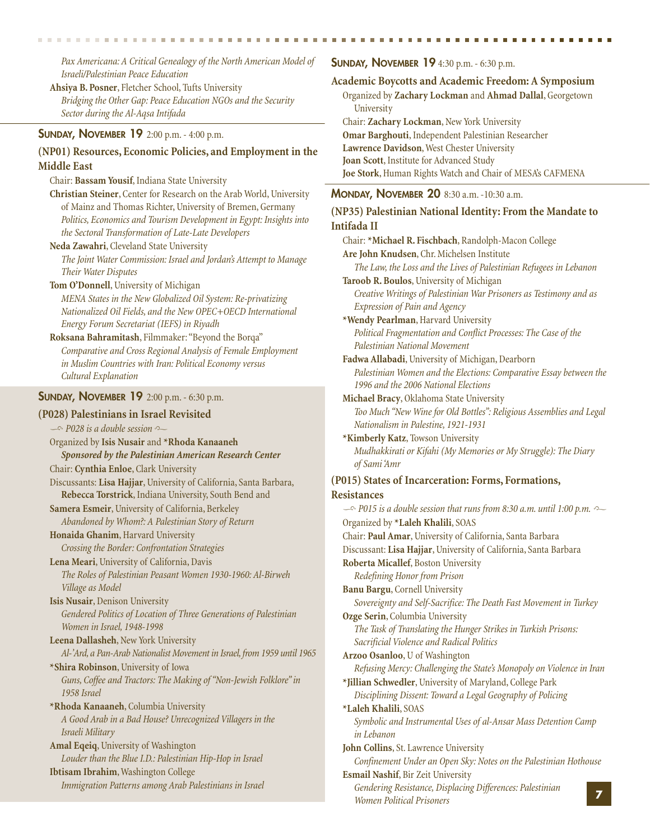*Pax Americana: A Critical Genealogy of the North American Model of Israeli/Palestinian Peace Education*

**Ahsiya B. Posner**, Fletcher School, Tufts University *Bridging the Other Gap: Peace Education NGOs and the Security Sector during the Al-Aqsa Intifada*

#### **SUNDAY, NOVEMBER 19** 2:00 p.m. - 4:00 p.m.

#### **(NP01) Resources, Economic Policies, and Employment in the Middle East**

Chair: **Bassam Yousif**, Indiana State University

- **Christian Steiner**, Center for Research on the Arab World, University of Mainz and Thomas Richter, University of Bremen, Germany *Politics, Economics and Tourism Development in Egypt: Insights into the Sectoral Transformation of Late-Late Developers*
- **Neda Zawahri**, Cleveland State University

*The Joint Water Commission: Israel and Jordan's Attempt to Manage Their Water Disputes*

**Tom O'Donnell**, University of Michigan

*MENA States in the New Globalized Oil System: Re-privatizing Nationalized Oil Fields, and the New OPEC+OECD International Energy Forum Secretariat (IEFS) in Riyadh*

**Roksana Bahramitash**, Filmmaker: "Beyond the Borqa" *Comparative and Cross Regional Analysis of Female Employment in Muslim Countries with Iran: Political Economy versus Cultural Explanation*

#### **SUNDAY, NOVEMBER 19** 2:00 p.m. - 6:30 p.m.

#### **(P028) Palestinians in Israel Revisited**

 $\sim$  *P028 is a double session* Organized by **Isis Nusair** and **\*Rhoda Kanaaneh** *Sponsored by the Palestinian American Research Center* Chair: **Cynthia Enloe**, Clark University Discussants: **Lisa Hajjar**, University of California, Santa Barbara, **Rebecca Torstrick**, Indiana University, South Bend and **Samera Esmeir**, University of California, Berkeley *Abandoned by Whom?: A Palestinian Story of Return* **Honaida Ghanim**, Harvard University *Crossing the Border: Confrontation Strategies* **Lena Meari**, University of California, Davis *The Roles of Palestinian Peasant Women 1930-1960: Al-Birweh Village as Model* **Isis Nusair**, Denison University

*Gendered Politics of Location of Three Generations of Palestinian Women in Israel, 1948-1998*

**Leena Dallasheh**, New York University *Al-'Ard, a Pan-Arab Nationalist Movement in Israel, from 1959 until 1965* **\*Shira Robinson**, University of Iowa

*Guns, Coffee and Tractors: The Making of "Non-Jewish Folklore" in 1958 Israel*

**\*Rhoda Kanaaneh**, Columbia University *A Good Arab in a Bad House? Unrecognized Villagers in the Israeli Military*

**Amal Eqeiq**, University of Washington *Louder than the Blue I.D.: Palestinian Hip-Hop in Israel* **Ibtisam Ibrahim**, Washington College

*Immigration Patterns among Arab Palestinians in Israel*

#### **SUNDAY, NOVEMBER 19** 4:30 p.m. - 6:30 p.m.

**Academic Boycotts and Academic Freedom: A Symposium**

Organized by **Zachary Lockman** and **Ahmad Dallal**, Georgetown **University** 

Chair: **Zachary Lockman**, New York University **Omar Barghouti**, Independent Palestinian Researcher

**Lawrence Davidson**, West Chester University

**Joan Scott**, Institute for Advanced Study

**Joe Stork**, Human Rights Watch and Chair of MESA's CAFMENA

#### **MONDAY, NOVEMBER 20** 8:30 a.m. -10:30 a.m.

| (NP35) Palestinian National Identity: From the Mandate to                                                              |
|------------------------------------------------------------------------------------------------------------------------|
| Intifada II                                                                                                            |
| Chair: *Michael R. Fischbach, Randolph-Macon College                                                                   |
| Are John Knudsen, Chr. Michelsen Institute                                                                             |
| The Law, the Loss and the Lives of Palestinian Refugees in Lebanon                                                     |
| Taroob R. Boulos, University of Michigan                                                                               |
| Creative Writings of Palestinian War Prisoners as Testimony and as                                                     |
| Expression of Pain and Agency                                                                                          |
| *Wendy Pearlman, Harvard University                                                                                    |
| Political Fragmentation and Conflict Processes: The Case of the                                                        |
| Palestinian National Movement                                                                                          |
| Fadwa Allabadi, University of Michigan, Dearborn                                                                       |
| Palestinian Women and the Elections: Comparative Essay between the<br>1996 and the 2006 National Elections             |
| Michael Bracy, Oklahoma State University                                                                               |
| Too Much "New Wine for Old Bottles": Religious Assemblies and Legal<br>Nationalism in Palestine, 1921-1931             |
| *Kimberly Katz, Towson University                                                                                      |
| Mudhakkirati or Kifahi (My Memories or My Struggle): The Diary<br>of Sami Amr                                          |
| (P015) States of Incarceration: Forms, Formations,                                                                     |
| <b>Resistances</b>                                                                                                     |
| $\sim$ P015 is a double session that runs from 8:30 a.m. until 1:00 p.m. $\sim$                                        |
| Organized by *Laleh Khalili, SOAS                                                                                      |
| Chair: Paul Amar, University of California, Santa Barbara                                                              |
| Discussant: Lisa Hajjar, University of California, Santa Barbara                                                       |
| Roberta Micallef, Boston University                                                                                    |
| Redefining Honor from Prison                                                                                           |
| Banu Bargu, Cornell University                                                                                         |
| Sovereignty and Self-Sacrifice: The Death Fast Movement in Turkey                                                      |
| Ozge Serin, Columbia University                                                                                        |
| The Task of Translating the Hunger Strikes in Turkish Prisons:                                                         |
| Sacrificial Violence and Radical Politics                                                                              |
| Arzoo Osanloo, U of Washington                                                                                         |
| Refusing Mercy: Challenging the State's Monopoly on Violence in Iran                                                   |
| *Jillian Schwedler, University of Maryland, College Park<br>Disciplining Dissent: Toward a Legal Geography of Policing |
| *Laleh Khalili, SOAS                                                                                                   |
| Symbolic and Instrumental Uses of al-Ansar Mass Detention Camp                                                         |
| in Lebanon                                                                                                             |
| John Collins, St. Lawrence University                                                                                  |
| Confinement Under an Open Sky: Notes on the Palestinian Hothouse                                                       |
| Esmail Nashif, Bir Zeit University                                                                                     |
| Gendering Resistance, Displacing Differences: Palestinian                                                              |
| <b>Women Political Prisoners</b>                                                                                       |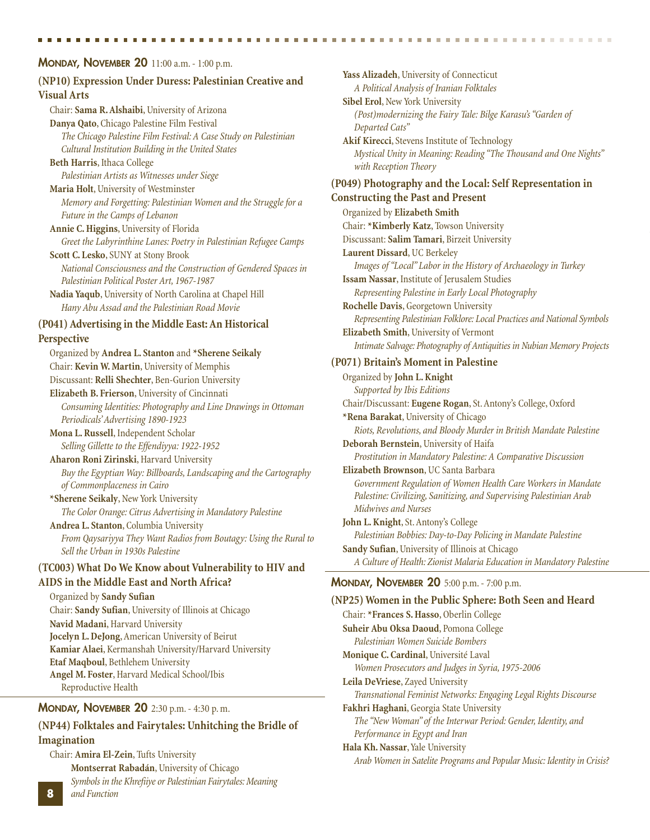#### **MONDAY, NOVEMBER 20** 11:00 a.m. - 1:00 p.m. **(NP10) Expression Under Duress: Palestinian Creative and Visual Arts** Chair: **Sama R. Alshaibi**, University of Arizona **Danya Qato**, Chicago Palestine Film Festival *The Chicago Palestine Film Festival: A Case Study on Palestinian Cultural Institution Building in the United States* **Beth Harris**, Ithaca College *Palestinian Artists as Witnesses under Siege* **Maria Holt**, University of Westminster *Memory and Forgetting: Palestinian Women and the Struggle for a Future in the Camps of Lebanon* **Annie C. Higgins**, University of Florida *Greet the Labyrinthine Lanes: Poetry in Palestinian Refugee Camps* **Scott C. Lesko**, SUNY at Stony Brook *National Consciousness and the Construction of Gendered Spaces in Palestinian Political Poster Art, 1967-1987* **Nadia Yaqub**, University of North Carolina at Chapel Hill *Hany Abu Assad and the Palestinian Road Movie* **(P041) Advertising in the Middle East: An Historical Perspective** Organized by **Andrea L. Stanton** and **\*Sherene Seikaly** Chair: **Kevin W. Martin**, University of Memphis Discussant: **Relli Shechter**, Ben-Gurion University **Elizabeth B. Frierson**, University of Cincinnati *Consuming Identities: Photography and Line Drawings in Ottoman Periodicals' Advertising 1890-1923* **Mona L. Russell**, Independent Scholar *Selling Gillette to the Effendiyya: 1922-1952* **Aharon Roni Zirinski**, Harvard University *Buy the Egyptian Way: Billboards, Landscaping and the Cartography of Commonplaceness in Cairo* **\*Sherene Seikaly**, New York University *The Color Orange: Citrus Advertising in Mandatory Palestine* **Andrea L. Stanton**, Columbia University *From Qaysariyya They Want Radios from Boutagy: Using the Rural to Sell the Urban in 1930s Palestine* **(TC003) What Do We Know about Vulnerability to HIV and AIDS in the Middle East and North Africa?** Organized by **Sandy Sufian** Chair: **Sandy Sufian**, University of Illinois at Chicago **Navid Madani**, Harvard University **Jocelyn L. DeJong**, American University of Beirut **Kamiar Alaei**, Kermanshah University/Harvard University **Etaf Maqboul**, Bethlehem University **Angel M. Foster**, Harvard Medical School/Ibis Reproductive Health **MONDAY, NOVEMBER 20** 2:30 p.m. - 4:30 p. m. **(NP44) Folktales and Fairytales: Unhitching the Bridle of Imagination** Chair: **Amira El-Zein**, Tufts University **Leila DeVriese**, Zayed University

**Montserrat Rabadán**, University of Chicago *Symbols in the Khrefiiye or Palestinian Fairytales: Meaning and Function*

**8**

**Yass Alizadeh**, University of Connecticut *A Political Analysis of Iranian Folktales* **Sibel Erol**, New York University *(Post)modernizing the Fairy Tale: Bilge Karasu's "Garden of Departed Cats"* **Akif Kirecci**, Stevens Institute of Technology *Mystical Unity in Meaning: Reading "The Thousand and One Nights" with Reception Theory* **(P049) Photography and the Local: Self Representation in Constructing the Past and Present** Organized by **Elizabeth Smith** Chair: **\*Kimberly Katz**, Towson University Discussant: **Salim Tamari**, Birzeit University **Laurent Dissard**, UC Berkeley *Images of "Local" Labor in the History of Archaeology in Turkey* **Issam Nassar**, Institute of Jerusalem Studies *Representing Palestine in Early Local Photography* **Rochelle Davis**, Georgetown University *Representing Palestinian Folklore: Local Practices and National Symbols* **Elizabeth Smith**, University of Vermont *Intimate Salvage: Photography of Antiquities in Nubian Memory Projects* **(P071) Britain's Moment in Palestine** Organized by **John L. Knight** *Supported by Ibis Editions* Chair/Discussant: **Eugene Rogan**, St. Antony's College, Oxford **\*Rena Barakat**, University of Chicago *Riots, Revolutions, and Bloody Murder in British Mandate Palestine* **Deborah Bernstein**, University of Haifa *Prostitution in Mandatory Palestine: A Comparative Discussion* **Elizabeth Brownson**, UC Santa Barbara *Government Regulation of Women Health Care Workers in Mandate Palestine: Civilizing, Sanitizing, and Supervising Palestinian Arab Midwives and Nurses* **John L. Knight**, St. Antony's College *Palestinian Bobbies: Day-to-Day Policing in Mandate Palestine* **Sandy Sufian**, University of Illinois at Chicago *A Culture of Health: Zionist Malaria Education in Mandatory Palestine* **MONDAY, NOVEMBER 20** 5:00 p.m. - 7:00 p.m. **(NP25) Women in the Public Sphere: Both Seen and Heard** Chair: **\*Frances S. Hasso**, Oberlin College **Suheir Abu Oksa Daoud**, Pomona College *Palestinian Women Suicide Bombers* **Monique C. Cardinal**, Université Laval *Women Prosecutors and Judges in Syria, 1975-2006*

*Transnational Feminist Networks: Engaging Legal Rights Discourse* **Fakhri Haghani**, Georgia State University *The "New Woman" of the Interwar Period: Gender, Identity, and*

*Performance in Egypt and Iran* **Hala Kh. Nassar**, Yale University *Arab Women in Satelite Programs and Popular Music: Identity in Crisis?*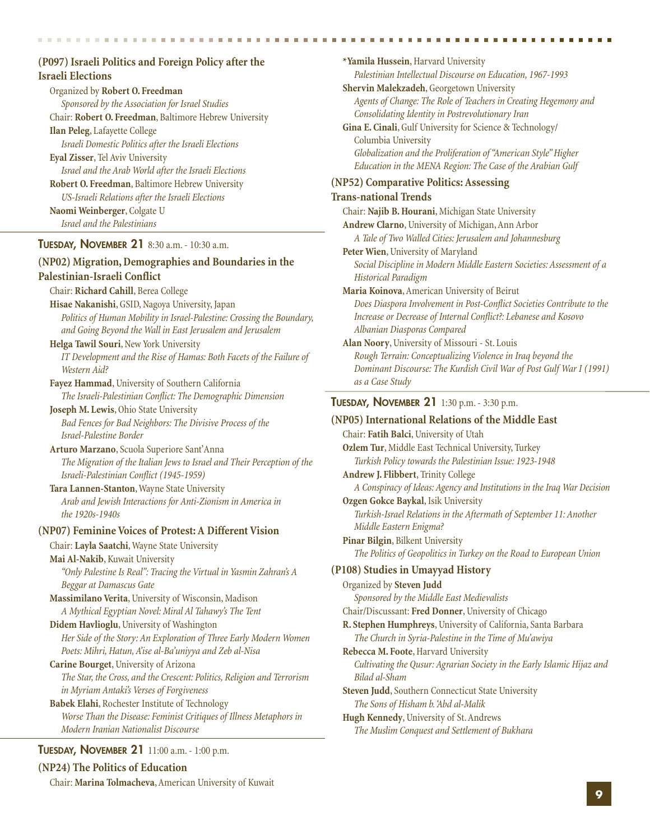#### **(P097) Israeli Politics and Foreign Policy after the Israeli Elections**

Organized by **Robert O. Freedman** *Sponsored by the Association for Israel Studies* Chair: **Robert O. Freedman**, Baltimore Hebrew University **Ilan Peleg**, Lafayette College *Israeli Domestic Politics after the Israeli Elections* **Eyal Zisser**, Tel Aviv University *Israel and the Arab World after the Israeli Elections* **Robert O. Freedman**, Baltimore Hebrew University *US-Israeli Relations after the Israeli Elections* **Naomi Weinberger**, Colgate U *Israel and the Palestinians*

#### **TUESDAY, NOVEMBER 21** 8:30 a.m. - 10:30 a.m.

#### **(NP02) Migration, Demographies and Boundaries in the Palestinian-Israeli Conflict**

Chair: **Richard Cahill**, Berea College

**Hisae Nakanishi**, GSID, Nagoya University, Japan *Politics of Human Mobility in Israel-Palestine: Crossing the Boundary, and Going Beyond the Wall in East Jerusalem and Jerusalem*

**Helga Tawil Souri**, New York University *IT Development and the Rise of Hamas: Both Facets of the Failure of Western Aid?*

**Fayez Hammad**, University of Southern California *The Israeli-Palestinian Conflict: The Demographic Dimension*

**Joseph M. Lewis**, Ohio State University *Bad Fences for Bad Neighbors: The Divisive Process of the Israel-Palestine Border*

**Arturo Marzano**, Scuola Superiore Sant'Anna *The Migration of the Italian Jews to Israel and Their Perception of the Israeli-Palestinian Conflict (1945-1959)*

#### **Tara Lannen-Stanton**, Wayne State University *Arab and Jewish Interactions for Anti-Zionism in America in the 1920s-1940s*

#### **(NP07) Feminine Voices of Protest: A Different Vision**

Chair: **Layla Saatchi**, Wayne State University

**Mai Al-Nakib**, Kuwait University *"Only Palestine Is Real": Tracing the Virtual in Yasmin Zahran's A Beggar at Damascus Gate*

**Massimilano Verita**, University of Wisconsin, Madison *A Mythical Egyptian Novel: Miral Al Tahawy's The Tent*

**Didem Havlioglu**, University of Washington *Her Side of the Story: An Exploration of Three Early Modern Women Poets: Mihri, Hatun, A'ise al-Ba'uniyya and Zeb al-Nisa*

#### **Carine Bourget**, University of Arizona

*The Star, the Cross, and the Crescent: Politics, Religion and Terrorism in Myriam Antaki's Verses of Forgiveness*

**Babek Elahi**, Rochester Institute of Technology *Worse Than the Disease: Feminist Critiques of Illness Metaphors in Modern Iranian Nationalist Discourse*

#### **TUESDAY, NOVEMBER 21** 11:00 a.m. - 1:00 p.m.

**(NP24) The Politics of Education**

Chair: **Marina Tolmacheva**, American University of Kuwait

**\*Yamila Hussein**, Harvard University *Palestinian Intellectual Discourse on Education, 1967-1993* **Shervin Malekzadeh**, Georgetown University *Agents of Change: The Role of Teachers in Creating Hegemony and Consolidating Identity in Postrevolutionary Iran* **Gina E. Cinali**, Gulf University for Science & Technology/ Columbia University *Globalization and the Proliferation of "American Style" Higher Education in the MENA Region: The Case of the Arabian Gulf* **(NP52) Comparative Politics: Assessing Trans-national Trends** Chair: **Najib B. Hourani**, Michigan State University **Andrew Clarno**, University of Michigan, Ann Arbor *A Tale of Two Walled Cities: Jerusalem and Johannesburg* **Peter Wien**, University of Maryland *Social Discipline in Modern Middle Eastern Societies: Assessment of a Historical Paradigm* **Maria Koinova**, American University of Beirut *Does Diaspora Involvement in Post-Conflict Societies Contribute to the Increase or Decrease of Internal Conflict?: Lebanese and Kosovo Albanian Diasporas Compared* **Alan Noory**, University of Missouri - St. Louis *Rough Terrain: Conceptualizing Violence in Iraq beyond the Dominant Discourse: The Kurdish Civil War of Post Gulf War I (1991) as a Case Study* **TUESDAY, NOVEMBER 21** 1:30 p.m. - 3:30 p.m. **(NP05) International Relations of the Middle East** Chair: **Fatih Balci**, University of Utah **Ozlem Tur**, Middle East Technical University, Turkey *Turkish Policy towards the Palestinian Issue: 1923-1948* **Andrew J. Flibbert**, Trinity College *A Conspiracy of Ideas: Agency and Institutions in the Iraq War Decision* **Ozgen Gokce Baykal**, Isik University *Turkish-Israel Relations in the Aftermath of September 11: Another Middle Eastern Enigma?* **Pinar Bilgin**, Bilkent University *The Politics of Geopolitics in Turkey on the Road to European Union* **(P108) Studies in Umayyad History** Organized by **Steven Judd** *Sponsored by the Middle East Medievalists* Chair/Discussant: **Fred Donner**, University of Chicago **R. Stephen Humphreys**, University of California, Santa Barbara *The Church in Syria-Palestine in the Time of Mu'awiya* **Rebecca M. Foote**, Harvard University *Cultivating the Qusur: Agrarian Society in the Early Islamic Hijaz and Bilad al-Sham* **Steven Judd**, Southern Connecticut State University *The Sons of Hisham b.'Abd al-Malik* **Hugh Kennedy**, University of St. Andrews *The Muslim Conquest and Settlement of Bukhara*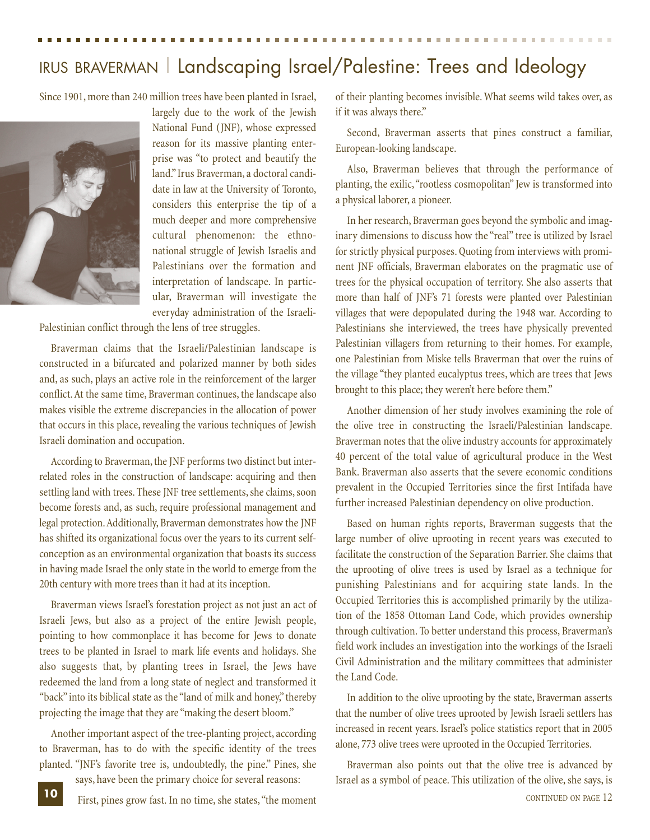### IRUS BRAVERMAN | Landscaping Israel/Palestine: Trees and Ideology

Since 1901, more than 240 million trees have been planted in Israel,



largely due to the work of the Jewish National Fund (JNF), whose expressed reason for its massive planting enterprise was "to protect and beautify the land." Irus Braverman, a doctoral candidate in law at the University of Toronto, considers this enterprise the tip of a much deeper and more comprehensive cultural phenomenon: the ethnonational struggle of Jewish Israelis and Palestinians over the formation and interpretation of landscape. In particular, Braverman will investigate the everyday administration of the Israeli-

Palestinian conflict through the lens of tree struggles.

Braverman claims that the Israeli/Palestinian landscape is constructed in a bifurcated and polarized manner by both sides and, as such, plays an active role in the reinforcement of the larger conflict. At the same time, Braverman continues, the landscape also makes visible the extreme discrepancies in the allocation of power that occurs in this place, revealing the various techniques of Jewish Israeli domination and occupation.

According to Braverman, the JNF performs two distinct but interrelated roles in the construction of landscape: acquiring and then settling land with trees. These JNF tree settlements, she claims, soon become forests and, as such, require professional management and legal protection. Additionally, Braverman demonstrates how the JNF has shifted its organizational focus over the years to its current selfconception as an environmental organization that boasts its success in having made Israel the only state in the world to emerge from the 20th century with more trees than it had at its inception.

Braverman views Israel's forestation project as not just an act of Israeli Jews, but also as a project of the entire Jewish people, pointing to how commonplace it has become for Jews to donate trees to be planted in Israel to mark life events and holidays. She also suggests that, by planting trees in Israel, the Jews have redeemed the land from a long state of neglect and transformed it "back" into its biblical state as the "land of milk and honey," thereby projecting the image that they are "making the desert bloom."

Another important aspect of the tree-planting project, according to Braverman, has to do with the specific identity of the trees planted. "JNF's favorite tree is, undoubtedly, the pine." Pines, she

says, have been the primary choice for several reasons:

of their planting becomes invisible. What seems wild takes over, as if it was always there."

Second, Braverman asserts that pines construct a familiar, European-looking landscape.

Also, Braverman believes that through the performance of planting, the exilic,"rootless cosmopolitan" Jew is transformed into a physical laborer, a pioneer.

In her research, Braverman goes beyond the symbolic and imaginary dimensions to discuss how the "real" tree is utilized by Israel for strictly physical purposes. Quoting from interviews with prominent JNF officials, Braverman elaborates on the pragmatic use of trees for the physical occupation of territory. She also asserts that more than half of JNF's 71 forests were planted over Palestinian villages that were depopulated during the 1948 war. According to Palestinians she interviewed, the trees have physically prevented Palestinian villagers from returning to their homes. For example, one Palestinian from Miske tells Braverman that over the ruins of the village "they planted eucalyptus trees, which are trees that Jews brought to this place; they weren't here before them."

Another dimension of her study involves examining the role of the olive tree in constructing the Israeli/Palestinian landscape. Braverman notes that the olive industry accounts for approximately 40 percent of the total value of agricultural produce in the West Bank. Braverman also asserts that the severe economic conditions prevalent in the Occupied Territories since the first Intifada have further increased Palestinian dependency on olive production.

Based on human rights reports, Braverman suggests that the large number of olive uprooting in recent years was executed to facilitate the construction of the Separation Barrier. She claims that the uprooting of olive trees is used by Israel as a technique for punishing Palestinians and for acquiring state lands. In the Occupied Territories this is accomplished primarily by the utilization of the 1858 Ottoman Land Code, which provides ownership through cultivation. To better understand this process, Braverman's field work includes an investigation into the workings of the Israeli Civil Administration and the military committees that administer the Land Code.

In addition to the olive uprooting by the state, Braverman asserts that the number of olive trees uprooted by Jewish Israeli settlers has increased in recent years. Israel's police statistics report that in 2005 alone, 773 olive trees were uprooted in the Occupied Territories.

Braverman also points out that the olive tree is advanced by Israel as a symbol of peace. This utilization of the olive, she says, is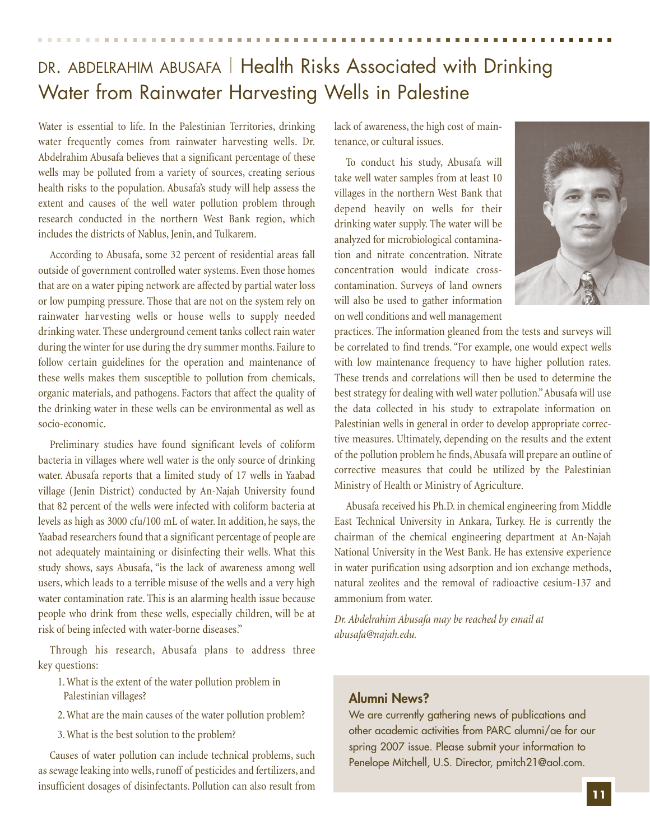### DR. ABDELRAHIM ABUSAFA | Health Risks Associated with Drinking Water from Rainwater Harvesting Wells in Palestine

Water is essential to life. In the Palestinian Territories, drinking water frequently comes from rainwater harvesting wells. Dr. Abdelrahim Abusafa believes that a significant percentage of these wells may be polluted from a variety of sources, creating serious health risks to the population. Abusafa's study will help assess the extent and causes of the well water pollution problem through research conducted in the northern West Bank region, which includes the districts of Nablus, Jenin, and Tulkarem.

According to Abusafa, some 32 percent of residential areas fall outside of government controlled water systems. Even those homes that are on a water piping network are affected by partial water loss or low pumping pressure. Those that are not on the system rely on rainwater harvesting wells or house wells to supply needed drinking water. These underground cement tanks collect rain water during the winter for use during the dry summer months. Failure to follow certain guidelines for the operation and maintenance of these wells makes them susceptible to pollution from chemicals, organic materials, and pathogens. Factors that affect the quality of the drinking water in these wells can be environmental as well as socio-economic.

Preliminary studies have found significant levels of coliform bacteria in villages where well water is the only source of drinking water. Abusafa reports that a limited study of 17 wells in Yaabad village (Jenin District) conducted by An-Najah University found that 82 percent of the wells were infected with coliform bacteria at levels as high as 3000 cfu/100 mL of water. In addition, he says, the Yaabad researchers found that a significant percentage of people are not adequately maintaining or disinfecting their wells. What this study shows, says Abusafa, "is the lack of awareness among well users, which leads to a terrible misuse of the wells and a very high water contamination rate. This is an alarming health issue because people who drink from these wells, especially children, will be at risk of being infected with water-borne diseases."

Through his research, Abusafa plans to address three key questions:

1. What is the extent of the water pollution problem in Palestinian villages?

2. What are the main causes of the water pollution problem?

3. What is the best solution to the problem?

Causes of water pollution can include technical problems, such as sewage leaking into wells, runoff of pesticides and fertilizers, and insufficient dosages of disinfectants. Pollution can also result from lack of awareness, the high cost of maintenance, or cultural issues.

To conduct his study, Abusafa will take well water samples from at least 10 villages in the northern West Bank that depend heavily on wells for their drinking water supply. The water will be analyzed for microbiological contamination and nitrate concentration. Nitrate concentration would indicate crosscontamination. Surveys of land owners will also be used to gather information on well conditions and well management



practices. The information gleaned from the tests and surveys will be correlated to find trends. "For example, one would expect wells with low maintenance frequency to have higher pollution rates. These trends and correlations will then be used to determine the best strategy for dealing with well water pollution."Abusafa will use the data collected in his study to extrapolate information on Palestinian wells in general in order to develop appropriate corrective measures. Ultimately, depending on the results and the extent of the pollution problem he finds,Abusafa will prepare an outline of corrective measures that could be utilized by the Palestinian Ministry of Health or Ministry of Agriculture.

Abusafa received his Ph.D. in chemical engineering from Middle East Technical University in Ankara, Turkey. He is currently the chairman of the chemical engineering department at An-Najah National University in the West Bank. He has extensive experience in water purification using adsorption and ion exchange methods, natural zeolites and the removal of radioactive cesium-137 and ammonium from water.

*Dr. Abdelrahim Abusafa may be reached by email at abusafa@najah.edu.*

#### **Alumni News?**

We are currently gathering news of publications and other academic activities from PARC alumni/ae for our spring 2007 issue. Please submit your information to Penelope Mitchell, U.S. Director, pmitch21@aol.com.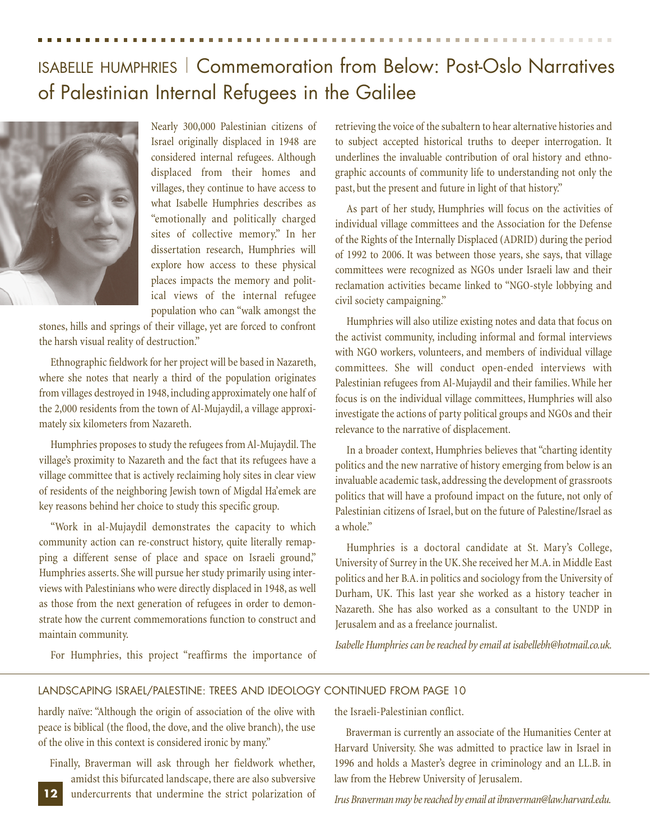### ISABELLE HUMPHRIES | Commemoration from Below: Post-Oslo Narratives of Palestinian Internal Refugees in the Galilee



Nearly 300,000 Palestinian citizens of Israel originally displaced in 1948 are considered internal refugees. Although displaced from their homes and villages, they continue to have access to what Isabelle Humphries describes as "emotionally and politically charged sites of collective memory." In her dissertation research, Humphries will explore how access to these physical places impacts the memory and political views of the internal refugee population who can "walk amongst the

stones, hills and springs of their village, yet are forced to confront the harsh visual reality of destruction."

Ethnographic fieldwork for her project will be based in Nazareth, where she notes that nearly a third of the population originates from villages destroyed in 1948, including approximately one half of the 2,000 residents from the town of Al-Mujaydil, a village approximately six kilometers from Nazareth.

Humphries proposes to study the refugees from Al-Mujaydil. The village's proximity to Nazareth and the fact that its refugees have a village committee that is actively reclaiming holy sites in clear view of residents of the neighboring Jewish town of Migdal Ha'emek are key reasons behind her choice to study this specific group.

"Work in al-Mujaydil demonstrates the capacity to which community action can re-construct history, quite literally remapping a different sense of place and space on Israeli ground," Humphries asserts. She will pursue her study primarily using interviews with Palestinians who were directly displaced in 1948, as well as those from the next generation of refugees in order to demonstrate how the current commemorations function to construct and maintain community.

retrieving the voice of the subaltern to hear alternative histories and to subject accepted historical truths to deeper interrogation. It underlines the invaluable contribution of oral history and ethnographic accounts of community life to understanding not only the past, but the present and future in light of that history."

As part of her study, Humphries will focus on the activities of individual village committees and the Association for the Defense of the Rights of the Internally Displaced (ADRID) during the period of 1992 to 2006. It was between those years, she says, that village committees were recognized as NGOs under Israeli law and their reclamation activities became linked to "NGO-style lobbying and civil society campaigning."

Humphries will also utilize existing notes and data that focus on the activist community, including informal and formal interviews with NGO workers, volunteers, and members of individual village committees. She will conduct open-ended interviews with Palestinian refugees from Al-Mujaydil and their families. While her focus is on the individual village committees, Humphries will also investigate the actions of party political groups and NGOs and their relevance to the narrative of displacement.

In a broader context, Humphries believes that "charting identity politics and the new narrative of history emerging from below is an invaluable academic task, addressing the development of grassroots politics that will have a profound impact on the future, not only of Palestinian citizens of Israel, but on the future of Palestine/Israel as a whole."

Humphries is a doctoral candidate at St. Mary's College, University of Surrey in the UK. She received her M.A. in Middle East politics and her B.A. in politics and sociology from the University of Durham, UK. This last year she worked as a history teacher in Nazareth. She has also worked as a consultant to the UNDP in Jerusalem and as a freelance journalist.

*Isabelle Humphries can be reached by email at isabellebh@hotmail.co.uk.*

For Humphries, this project "reaffirms the importance of

#### LANDSCAPING ISRAEL/PALESTINE: TREES AND IDEOLOGY CONTINUED FROM PAGE 10

hardly naïve: "Although the origin of association of the olive with peace is biblical (the flood, the dove, and the olive branch), the use of the olive in this context is considered ironic by many."

Finally, Braverman will ask through her fieldwork whether, amidst this bifurcated landscape, there are also subversive undercurrents that undermine the strict polarization of **12**

the Israeli-Palestinian conflict.

Braverman is currently an associate of the Humanities Center at Harvard University. She was admitted to practice law in Israel in 1996 and holds a Master's degree in criminology and an LL.B. in law from the Hebrew University of Jerusalem.

*Irus Braverman may be reached by email at ibraverman@law.harvard.edu.*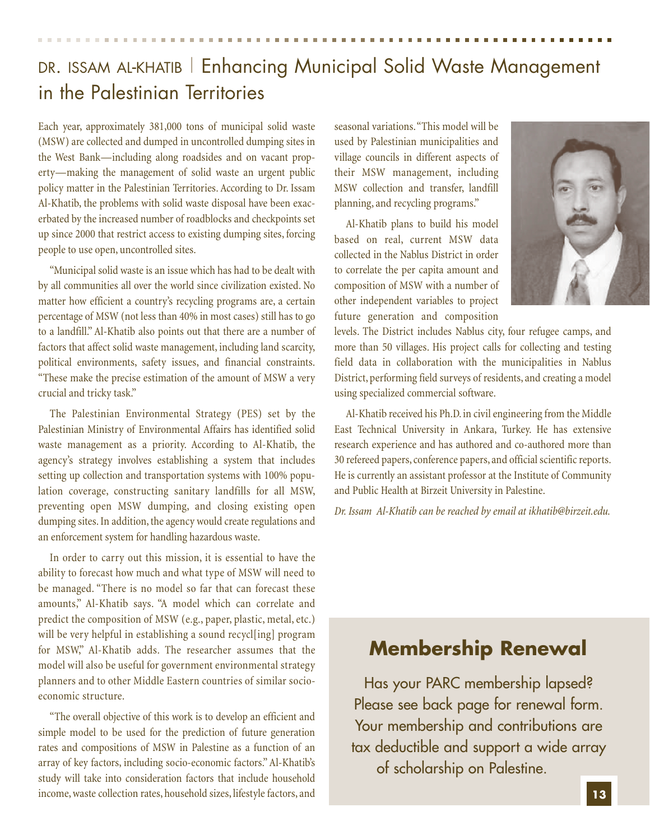### DR. ISSAM AL-KHATIB | Enhancing Municipal Solid Waste Management in the Palestinian Territories

Each year, approximately 381,000 tons of municipal solid waste (MSW) are collected and dumped in uncontrolled dumping sites in the West Bank—including along roadsides and on vacant property—making the management of solid waste an urgent public policy matter in the Palestinian Territories. According to Dr. Issam Al-Khatib, the problems with solid waste disposal have been exacerbated by the increased number of roadblocks and checkpoints set up since 2000 that restrict access to existing dumping sites, forcing people to use open, uncontrolled sites.

"Municipal solid waste is an issue which has had to be dealt with by all communities all over the world since civilization existed. No matter how efficient a country's recycling programs are, a certain percentage of MSW (not less than 40% in most cases) still has to go to a landfill." Al-Khatib also points out that there are a number of factors that affect solid waste management, including land scarcity, political environments, safety issues, and financial constraints. "These make the precise estimation of the amount of MSW a very crucial and tricky task."

The Palestinian Environmental Strategy (PES) set by the Palestinian Ministry of Environmental Affairs has identified solid waste management as a priority. According to Al-Khatib, the agency's strategy involves establishing a system that includes setting up collection and transportation systems with 100% population coverage, constructing sanitary landfills for all MSW, preventing open MSW dumping, and closing existing open dumping sites. In addition, the agency would create regulations and an enforcement system for handling hazardous waste.

In order to carry out this mission, it is essential to have the ability to forecast how much and what type of MSW will need to be managed. "There is no model so far that can forecast these amounts," Al-Khatib says. "A model which can correlate and predict the composition of MSW (e.g., paper, plastic, metal, etc.) will be very helpful in establishing a sound recycles program for MSW," Al-Khatib adds. The researcher assumes that the model will also be useful for government environmental strategy planners and to other Middle Eastern countries of similar socioeconomic structure.

"The overall objective of this work is to develop an efficient and simple model to be used for the prediction of future generation rates and compositions of MSW in Palestine as a function of an array of key factors, including socio-economic factors." Al-Khatib's study will take into consideration factors that include household income, waste collection rates, household sizes, lifestyle factors, and

seasonal variations."This model will be used by Palestinian municipalities and village councils in different aspects of their MSW management, including MSW collection and transfer, landfill planning, and recycling programs."

Al-Khatib plans to build his model based on real, current MSW data collected in the Nablus District in order to correlate the per capita amount and composition of MSW with a number of other independent variables to project future generation and composition



levels. The District includes Nablus city, four refugee camps, and more than 50 villages. His project calls for collecting and testing field data in collaboration with the municipalities in Nablus District, performing field surveys of residents, and creating a model using specialized commercial software.

Al-Khatib received his Ph.D. in civil engineering from the Middle East Technical University in Ankara, Turkey. He has extensive research experience and has authored and co-authored more than 30 refereed papers, conference papers, and official scientific reports. He is currently an assistant professor at the Institute of Community and Public Health at Birzeit University in Palestine.

*Dr. Issam Al-Khatib can be reached by email at ikhatib@birzeit.edu.*

### **Membership Renewal**

Has your PARC membership lapsed? Please see back page for renewal form. Your membership and contributions are tax deductible and support a wide array of scholarship on Palestine.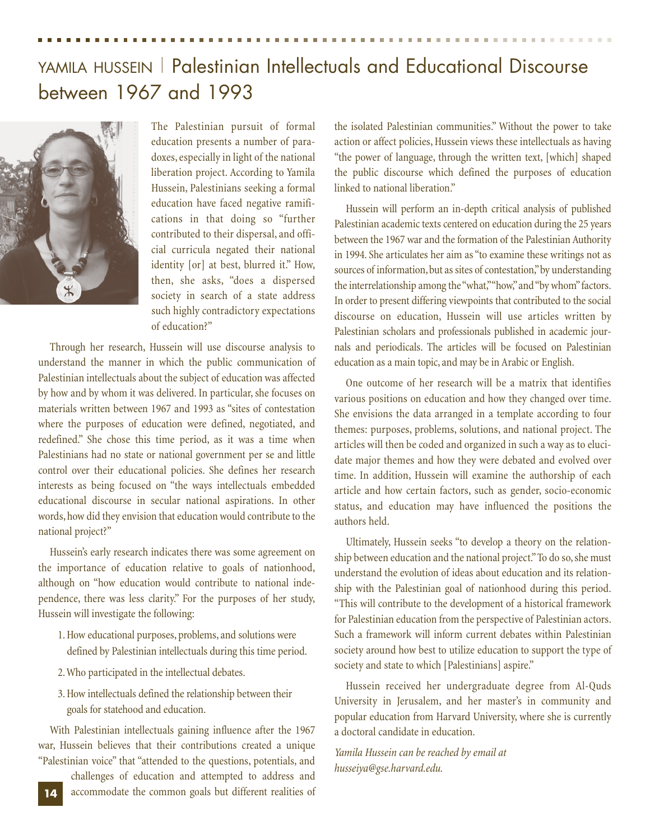# YAMILA HUSSEIN | Palestinian Intellectuals and Educational Discourse

### between 1967 and 1993



The Palestinian pursuit of formal education presents a number of paradoxes, especially in light of the national liberation project. According to Yamila Hussein, Palestinians seeking a formal education have faced negative ramifications in that doing so "further contributed to their dispersal, and official curricula negated their national identity [or] at best, blurred it." How, then, she asks, "does a dispersed society in search of a state address such highly contradictory expectations of education?"

Through her research, Hussein will use discourse analysis to understand the manner in which the public communication of Palestinian intellectuals about the subject of education was affected by how and by whom it was delivered. In particular, she focuses on materials written between 1967 and 1993 as "sites of contestation where the purposes of education were defined, negotiated, and redefined." She chose this time period, as it was a time when Palestinians had no state or national government per se and little control over their educational policies. She defines her research interests as being focused on "the ways intellectuals embedded educational discourse in secular national aspirations. In other words, how did they envision that education would contribute to the national project?"

Hussein's early research indicates there was some agreement on the importance of education relative to goals of nationhood, although on "how education would contribute to national independence, there was less clarity." For the purposes of her study, Hussein will investigate the following:

- 1. How educational purposes, problems, and solutions were defined by Palestinian intellectuals during this time period.
- 2. Who participated in the intellectual debates.
- 3. How intellectuals defined the relationship between their goals for statehood and education.

With Palestinian intellectuals gaining influence after the 1967 war, Hussein believes that their contributions created a unique "Palestinian voice" that "attended to the questions, potentials, and

challenges of education and attempted to address and accommodate the common goals but different realities of the isolated Palestinian communities." Without the power to take action or affect policies, Hussein views these intellectuals as having "the power of language, through the written text, [which] shaped the public discourse which defined the purposes of education linked to national liberation."

Hussein will perform an in-depth critical analysis of published Palestinian academic texts centered on education during the 25 years between the 1967 war and the formation of the Palestinian Authority in 1994. She articulates her aim as "to examine these writings not as sources of information, but as sites of contestation,"by understanding the interrelationship among the "what,""how,"and "by whom"factors. In order to present differing viewpoints that contributed to the social discourse on education, Hussein will use articles written by Palestinian scholars and professionals published in academic journals and periodicals. The articles will be focused on Palestinian education as a main topic, and may be in Arabic or English.

One outcome of her research will be a matrix that identifies various positions on education and how they changed over time. She envisions the data arranged in a template according to four themes: purposes, problems, solutions, and national project. The articles will then be coded and organized in such a way as to elucidate major themes and how they were debated and evolved over time. In addition, Hussein will examine the authorship of each article and how certain factors, such as gender, socio-economic status, and education may have influenced the positions the authors held.

Ultimately, Hussein seeks "to develop a theory on the relationship between education and the national project."To do so, she must understand the evolution of ideas about education and its relationship with the Palestinian goal of nationhood during this period. "This will contribute to the development of a historical framework for Palestinian education from the perspective of Palestinian actors. Such a framework will inform current debates within Palestinian society around how best to utilize education to support the type of society and state to which [Palestinians] aspire."

Hussein received her undergraduate degree from Al-Quds University in Jerusalem, and her master's in community and popular education from Harvard University, where she is currently a doctoral candidate in education.

*Yamila Hussein can be reached by email at husseiya@gse.harvard.edu.*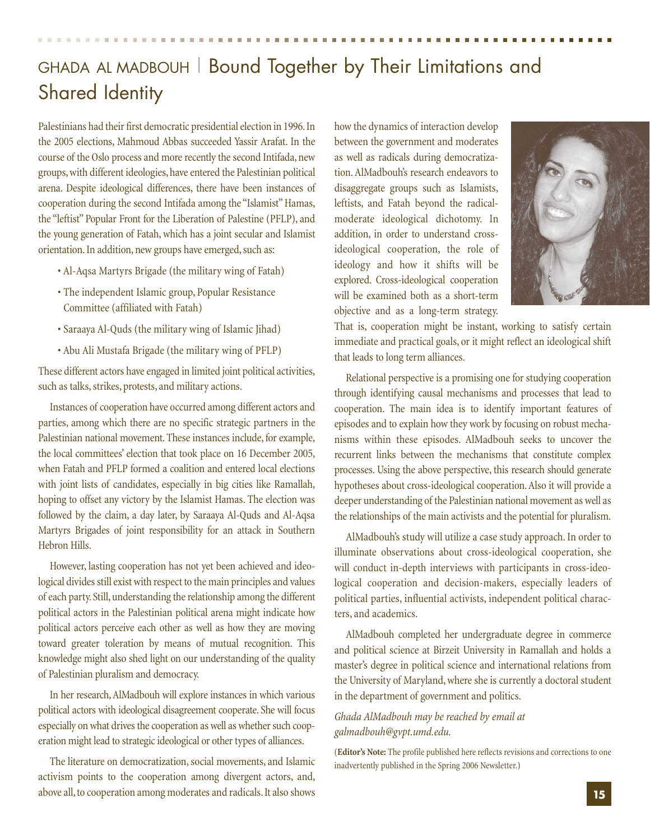### GHADA AL MADBOUH | Bound Together by Their Limitations and Shared Identity

Palestinians had their first democratic presidential election in 1996.In the 2005 elections, Mahmoud Abbas succeeded Yassir Arafat. In the course of the Oslo process and more recently the second Intifada, new groups, with different ideologies, have entered the Palestinian political arena. Despite ideological differences, there have been instances of cooperation during the second Intifada among the "Islamist" Hamas, the "leftist" Popular Front for the Liberation of Palestine (PFLP), and the young generation of Fatah, which has a joint secular and Islamist orientation. In addition, new groups have emerged, such as:

- Al-Aqsa Martyrs Brigade (the military wing of Fatah)
- The independent Islamic group, Popular Resistance Committee (affiliated with Fatah)
- Saraaya Al-Quds (the military wing of Islamic Jihad)
- Abu Ali Mustafa Brigade (the military wing of PFLP)

These different actors have engaged in limited joint political activities, such as talks, strikes, protests, and military actions.

Instances of cooperation have occurred among different actors and parties, among which there are no specific strategic partners in the Palestinian national movement. These instances include, for example, the local committees' election that took place on 16 December 2005, when Fatah and PFLP formed a coalition and entered local elections with joint lists of candidates, especially in big cities like Ramallah, hoping to offset any victory by the Islamist Hamas. The election was followed by the claim, a day later, by Saraaya Al-Quds and Al-Aqsa Martyrs Brigades of joint responsibility for an attack in Southern Hebron Hills.

However, lasting cooperation has not yet been achieved and ideological divides still exist with respect to the main principles and values of each party. Still, understanding the relationship among the different political actors in the Palestinian political arena might indicate how political actors perceive each other as well as how they are moving toward greater toleration by means of mutual recognition. This knowledge might also shed light on our understanding of the quality of Palestinian pluralism and democracy.

In her research, AlMadbouh will explore instances in which various political actors with ideological disagreement cooperate. She will focus especially on what drives the cooperation as well as whether such cooperation might lead to strategic ideological or other types of alliances.

The literature on democratization, social movements, and Islamic activism points to the cooperation among divergent actors, and, above all, to cooperation among moderates and radicals. It also shows how the dynamics of interaction develop between the government and moderates as well as radicals during democratization. AlMadbouh's research endeavors to disaggregate groups such as Islamists, leftists, and Fatah beyond the radicalmoderate ideological dichotomy. In addition, in order to understand crossideological cooperation, the role of ideology and how it shifts will be explored. Cross-ideological cooperation will be examined both as a short-term objective and as a long-term strategy.



That is, cooperation might be instant, working to satisfy certain immediate and practical goals, or it might reflect an ideological shift that leads to long term alliances.

Relational perspective is a promising one for studying cooperation through identifying causal mechanisms and processes that lead to cooperation. The main idea is to identify important features of episodes and to explain how they work by focusing on robust mechanisms within these episodes. AlMadbouh seeks to uncover the recurrent links between the mechanisms that constitute complex processes. Using the above perspective, this research should generate hypotheses about cross-ideological cooperation. Also it will provide a deeper understanding of the Palestinian national movement as well as the relationships of the main activists and the potential for pluralism.

AlMadbouh's study will utilize a case study approach. In order to illuminate observations about cross-ideological cooperation, she will conduct in-depth interviews with participants in cross-ideological cooperation and decision-makers, especially leaders of political parties, influential activists, independent political characters, and academics.

AlMadbouh completed her undergraduate degree in commerce and political science at Birzeit University in Ramallah and holds a master's degree in political science and international relations from the University of Maryland, where she is currently a doctoral student in the department of government and politics.

#### *Ghada AlMadbouh may be reached by email at galmadbouh@gvpt.umd.edu.*

(**Editor's Note:** The profile published here reflects revisions and corrections to one inadvertently published in the Spring 2006 Newsletter.)